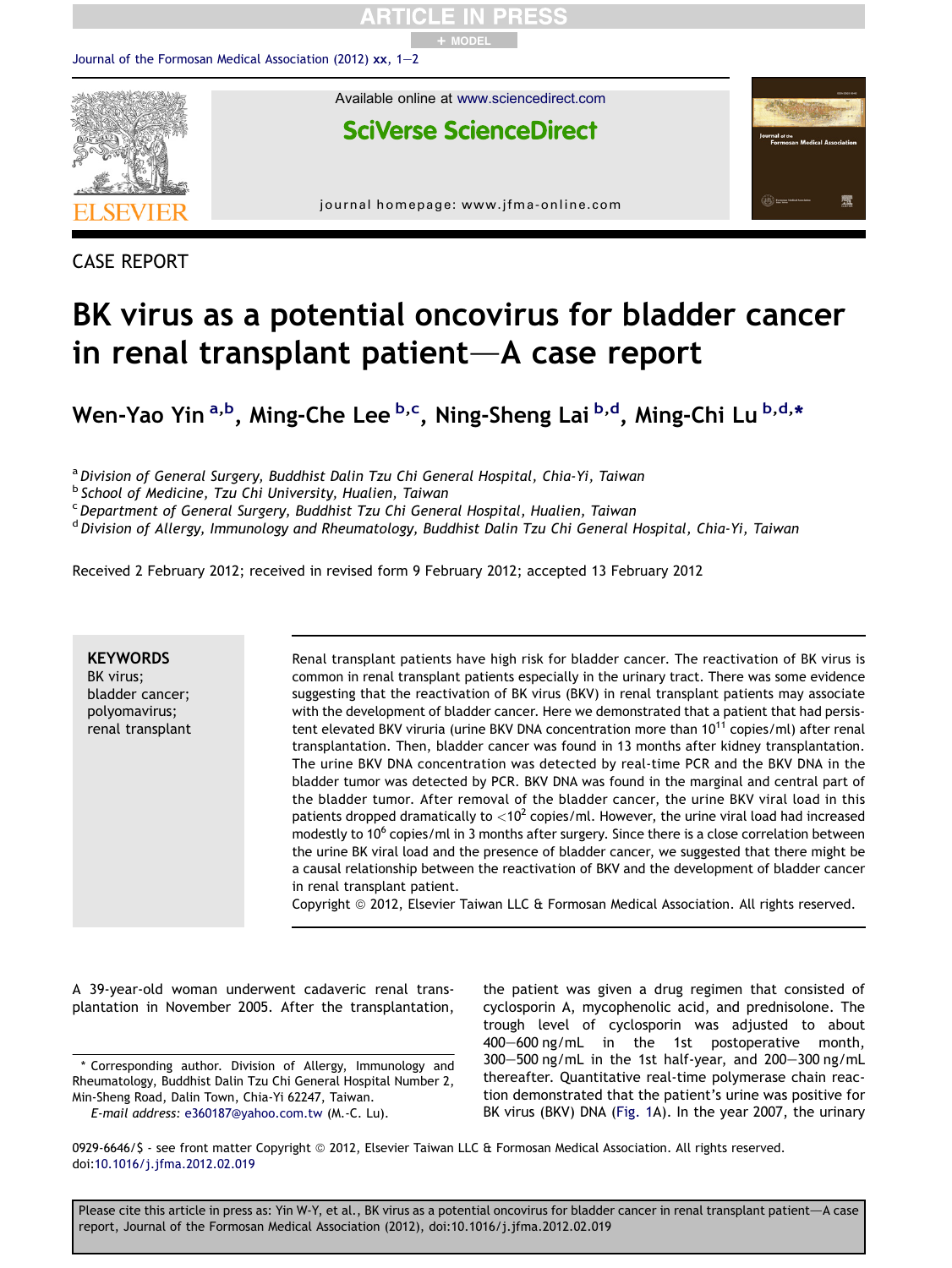

CASE REPORT

## BK virus as a potential oncovirus for bladder cancer in renal transplant patient $-A$  case report

Wen-Yao Yin <sup>a,b</sup>, Ming-Che Lee <sup>b,c</sup>, Ning-Sheng Lai <sup>b,d</sup>, Ming-Chi Lu <sup>b,d,</sup>\*

a Division of General Surgery, Buddhist Dalin Tzu Chi General Hospital, Chia-Yi, Taiwan

<sup>c</sup> Department of General Surgery, Buddhist Tzu Chi General Hospital, Hualien, Taiwan

<sup>d</sup> Division of Allergy, Immunology and Rheumatology, Buddhist Dalin Tzu Chi General Hospital, Chia-Yi, Taiwan

Received 2 February 2012; received in revised form 9 February 2012; accepted 13 February 2012

**KEYWORDS** BK virus; bladder cancer; polyomavirus; renal transplant Renal transplant patients have high risk for bladder cancer. The reactivation of BK virus is common in renal transplant patients especially in the urinary tract. There was some evidence suggesting that the reactivation of BK virus (BKV) in renal transplant patients may associate with the development of bladder cancer. Here we demonstrated that a patient that had persistent elevated BKV viruria (urine BKV DNA concentration more than  $10^{11}$  copies/ml) after renal transplantation. Then, bladder cancer was found in 13 months after kidney transplantation. The urine BKV DNA concentration was detected by real-time PCR and the BKV DNA in the bladder tumor was detected by PCR. BKV DNA was found in the marginal and central part of the bladder tumor. After removal of the bladder cancer, the urine BKV viral load in this patients dropped dramatically to  $<$ 10<sup>2</sup> copies/ml. However, the urine viral load had increased modestly to 10<sup>6</sup> copies/ml in 3 months after surgery. Since there is a close correlation between the urine BK viral load and the presence of bladder cancer, we suggested that there might be a causal relationship between the reactivation of BKV and the development of bladder cancer in renal transplant patient.

Copyright © 2012, Elsevier Taiwan LLC & Formosan Medical Association. All rights reserved.

A 39-year-old woman underwent cadaveric renal transplantation in November 2005. After the transplantation,

\* Corresponding author. Division of Allergy, Immunology and Rheumatology, Buddhist Dalin Tzu Chi General Hospital Number 2, Min-Sheng Road, Dalin Town, Chia-Yi 62247, Taiwan.

E-mail address: [e360187@yahoo.com.tw](mailto:e360187@yahoo.com.tw) (M.-C. Lu).

the patient was given a drug regimen that consisted of cyclosporin A, mycophenolic acid, and prednisolone. The trough level of cyclosporin was adjusted to about 400-600 ng/mL in the 1st postoperative month,  $300-500$  ng/mL in the 1st half-year, and  $200-300$  ng/mL thereafter. Quantitative real-time polymerase chain reaction demonstrated that the patient's urine was positive for BK virus (BKV) DNA ([Fig. 1A](#page-1-0)). In the year 2007, the urinary

0929-6646/\$ - see front matter Copyright © 2012, Elsevier Taiwan LLC & Formosan Medical Association. All rights reserved. doi[:10.1016/j.jfma.2012.02.019](http://dx.doi.org/10.1016/j.jfma.2012.02.019)

Please cite this article in press as: Yin W-Y, et al., BK virus as a potential oncovirus for bladder cancer in renal transplant patient-A case report, Journal of the Formosan Medical Association (2012), doi:10.1016/j.jfma.2012.02.019

b School of Medicine, Tzu Chi University, Hualien, Taiwan